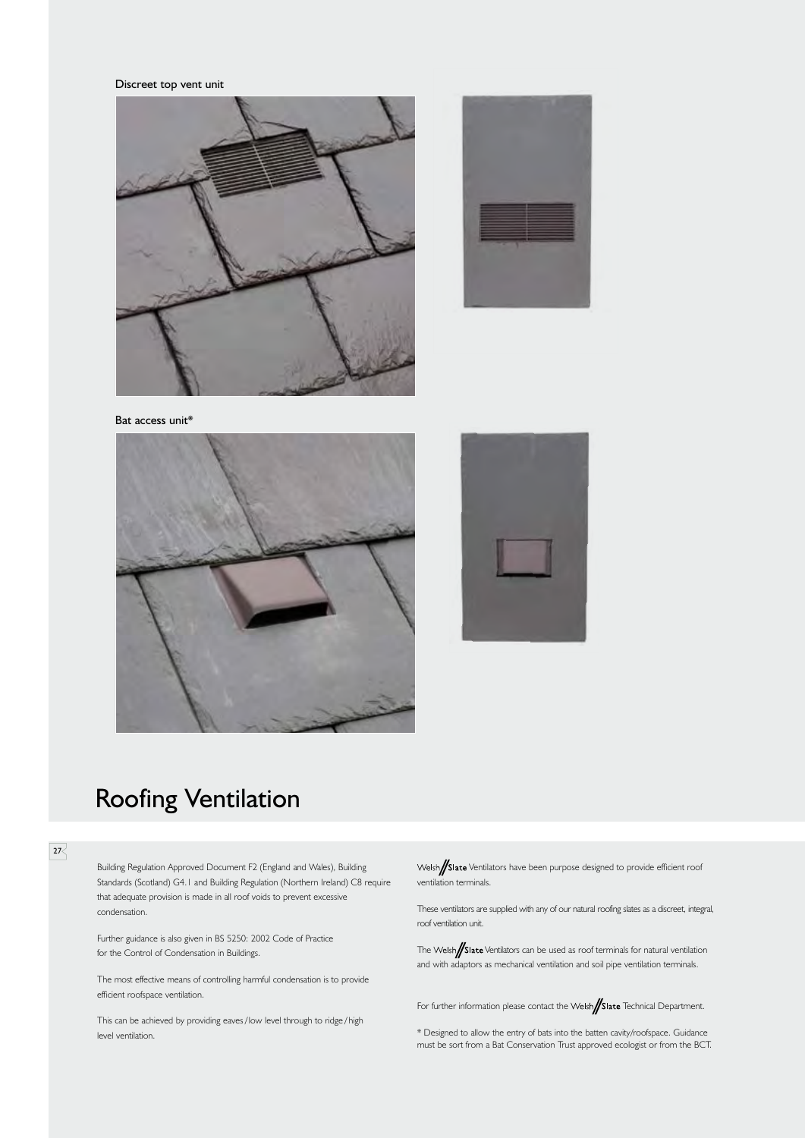Discreet top vent unit











# Roofing Ventilation

### $\overline{27}$

Building Regulation Approved Document F2 (England and Wales), Building Standards (Scotland) G4.1 and Building Regulation (Northern Ireland) C8 require that adequate provision is made in all roof voids to prevent excessive condensation.

Further guidance is also given in BS 5250: 2002 Code of Practice for the Control of Condensation in Buildings.

The most effective means of controlling harmful condensation is to provide efficient roofspace ventilation.

This can be achieved by providing eaves/low level through to ridge/high level ventilation.

Welsh/Slate Ventilators have been purpose designed to provide efficient roof ventilation terminals.

These ventilators are supplied with any of our natural roofing slates as a discreet, integral, roof ventilation unit.

The Welsh**//Slate** Ventilators can be used as roof terminals for natural ventilation and with adaptors as mechanical ventilation and soil pipe ventilation terminals.

For further information please contact the Welsh**/Slate** Technical Department.

\* Designed to allow the entry of bats into the batten cavity/roofspace. Guidance must be sort from a Bat Conservation Trust approved ecologist or from the BCT.